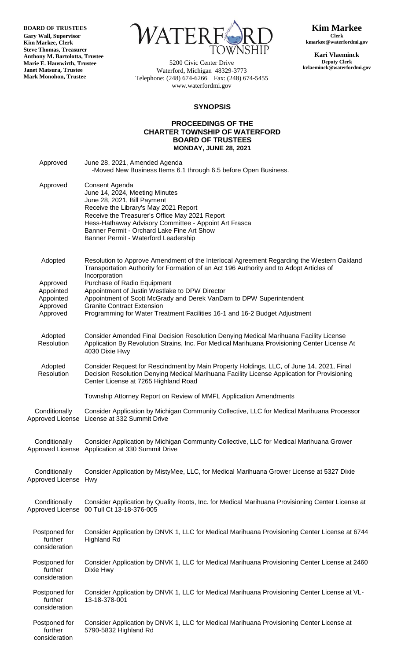**BOARD OF TRUSTEES**

**Gary Wall, Supervisor Kim Markee, Clerk Steve Thomas, Treasurer Anthony M. Bartolotta, Trustee Marie E. Hauswirth, Trustee Janet Matsura, Trustee Mark Monohon, Trustee**



5200 Civic Center Drive Waterford, Michigan 48329-3773 Telephone: (248) 674-6266 Fax: (248) 674-5455 www.waterfordmi.gov

**Kim Markee Clerk kmarkee@waterfordmi.gov**

**Kari Vlaeminck Deputy Clerk kvlaeminck@waterfordmi.gov**

## **SYNOPSIS**

## **PROCEEDINGS OF THE CHARTER TOWNSHIP OF WATERFORD BOARD OF TRUSTEES MONDAY, JUNE 28, 2021**

| Approved                                  | June 28, 2021, Amended Agenda<br>-Moved New Business Items 6.1 through 6.5 before Open Business.                                                                                                                                                                                                                          |
|-------------------------------------------|---------------------------------------------------------------------------------------------------------------------------------------------------------------------------------------------------------------------------------------------------------------------------------------------------------------------------|
| Approved                                  | Consent Agenda<br>June 14, 2024, Meeting Minutes<br>June 28, 2021, Bill Payment<br>Receive the Library's May 2021 Report<br>Receive the Treasurer's Office May 2021 Report<br>Hess-Hathaway Advisory Committee - Appoint Art Frasca<br>Banner Permit - Orchard Lake Fine Art Show<br>Banner Permit - Waterford Leadership |
| Adopted                                   | Resolution to Approve Amendment of the Interlocal Agreement Regarding the Western Oakland<br>Transportation Authority for Formation of an Act 196 Authority and to Adopt Articles of<br>Incorporation                                                                                                                     |
| Approved<br>Appointed<br>Appointed        | Purchase of Radio Equipment<br>Appointment of Justin Westlake to DPW Director<br>Appointment of Scott McGrady and Derek VanDam to DPW Superintendent                                                                                                                                                                      |
| Approved<br>Approved                      | <b>Granite Contract Extension</b><br>Programming for Water Treatment Facilities 16-1 and 16-2 Budget Adjustment                                                                                                                                                                                                           |
| Adopted<br>Resolution                     | Consider Amended Final Decision Resolution Denying Medical Marihuana Facility License<br>Application By Revolution Strains, Inc. For Medical Marihuana Provisioning Center License At<br>4030 Dixie Hwy                                                                                                                   |
| Adopted<br>Resolution                     | Consider Request for Rescindment by Main Property Holdings, LLC, of June 14, 2021, Final<br>Decision Resolution Denying Medical Marihuana Facility License Application for Provisioning<br>Center License at 7265 Highland Road                                                                                           |
|                                           | Township Attorney Report on Review of MMFL Application Amendments                                                                                                                                                                                                                                                         |
| Conditionally                             | Consider Application by Michigan Community Collective, LLC for Medical Marihuana Processor<br>Approved License License at 332 Summit Drive                                                                                                                                                                                |
| Conditionally                             | Consider Application by Michigan Community Collective, LLC for Medical Marihuana Grower<br>Approved License Application at 330 Summit Drive                                                                                                                                                                               |
| Conditionally<br>Approved License         | Consider Application by MistyMee, LLC, for Medical Marihuana Grower License at 5327 Dixie<br>Hwy                                                                                                                                                                                                                          |
| Conditionally                             | Consider Application by Quality Roots, Inc. for Medical Marihuana Provisioning Center License at<br>Approved License 00 Tull Ct 13-18-376-005                                                                                                                                                                             |
| Postponed for<br>further<br>consideration | Consider Application by DNVK 1, LLC for Medical Marihuana Provisioning Center License at 6744<br><b>Highland Rd</b>                                                                                                                                                                                                       |
| Postponed for<br>further<br>consideration | Consider Application by DNVK 1, LLC for Medical Marihuana Provisioning Center License at 2460<br>Dixie Hwy                                                                                                                                                                                                                |
| Postponed for<br>further<br>consideration | Consider Application by DNVK 1, LLC for Medical Marihuana Provisioning Center License at VL-<br>13-18-378-001                                                                                                                                                                                                             |
| Postponed for<br>further<br>consideration | Consider Application by DNVK 1, LLC for Medical Marihuana Provisioning Center License at<br>5790-5832 Highland Rd                                                                                                                                                                                                         |